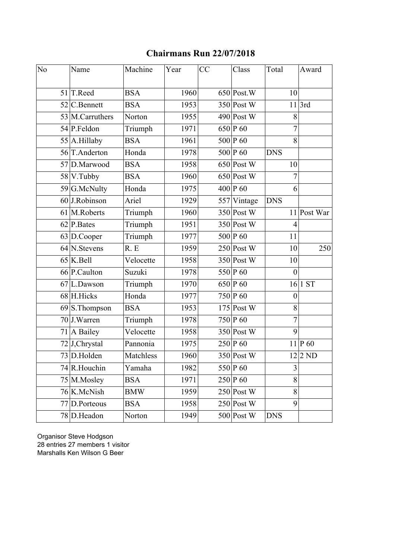## **Chairmans Run 22/07/2018**

| No | Name             | Machine    | Year | CC | Class         | Total          | Award       |
|----|------------------|------------|------|----|---------------|----------------|-------------|
|    | 51 T.Reed        | <b>BSA</b> | 1960 |    | $650$ Post. W | 10             |             |
|    | 52 C.Bennett     | <b>BSA</b> | 1953 |    | $350$ Post W  |                | $11$ 3rd    |
|    | 53 M.Carruthers  | Norton     | 1955 |    | $490$ Post W  | 8              |             |
|    | 54 P.Feldon      | Triumph    | 1971 |    | 650 P 60      | $\overline{7}$ |             |
|    | $55$ A.Hillaby   | <b>BSA</b> | 1961 |    | 500 P 60      | 8              |             |
|    | 56 T.Anderton    | Honda      | 1978 |    | 500 P 60      | <b>DNS</b>     |             |
|    | 57 D.Marwood     | <b>BSA</b> | 1958 |    | $650$ Post W  | 10             |             |
|    | $58$ V. Tubby    | <b>BSA</b> | 1960 |    | $650$ Post W  | $\overline{7}$ |             |
|    | 59 G.McNulty     | Honda      | 1975 |    | 400 P 60      | 6              |             |
|    | $60$ J.Robinson  | Ariel      | 1929 |    | 557 Vintage   | <b>DNS</b>     |             |
|    | 61 M.Roberts     | Triumph    | 1960 |    | $350$ Post W  |                | 11 Post War |
|    | $62$ P. Bates    | Triumph    | 1951 |    | $350$ Post W  | $\overline{4}$ |             |
|    | $63$ D.Cooper    | Triumph    | 1977 |    | 500 P 60      | 11             |             |
|    | 64 N.Stevens     | R.E        | 1959 |    | $250$ Post W  | 10             | 250         |
|    | $65$ K.Bell      | Velocette  | 1958 |    | $350$ Post W  | 10             |             |
|    | 66 P.Caulton     | Suzuki     | 1978 |    | 550 P 60      | $\overline{0}$ |             |
|    | $67$  L.Dawson   | Triumph    | 1970 |    | 650 P 60      |                | 16 1ST      |
|    | 68 H.Hicks       | Honda      | 1977 |    | 750 P 60      | $\theta$       |             |
|    | $69$ S. Thompson | <b>BSA</b> | 1953 |    | $175$ Post W  | 8              |             |
|    | 70 J.Warren      | Triumph    | 1978 |    | 750 P 60      | $\overline{7}$ |             |
|    | $71$ A Bailey    | Velocette  | 1958 |    | $350$ Post W  | 9              |             |
|    | 72J,Chrystal     | Pannonia   | 1975 |    | $250$ P 60    |                | $11$ P 60   |
|    | 73 D.Holden      | Matchless  | 1960 |    | $350$ Post W  |                | $12 2$ ND   |
|    | 74 R.Houchin     | Yamaha     | 1982 |    | 550 P 60      | 3              |             |
|    | 75 M.Mosley      | BSA        | 1971 |    | $250 P_00$    | 8              |             |
|    | 76 K.McNish      | BMW        | 1959 |    | $250$ Post W  | 8              |             |
|    | 77 D.Porteous    | <b>BSA</b> | 1958 |    | $250$ Post W  | 9              |             |
|    | 78 D.Headon      | Norton     | 1949 |    | $500$ Post W  | <b>DNS</b>     |             |

Organisor Steve Hodgson 28 entries 27 members 1 visitor Marshalls Ken Wilson G Beer